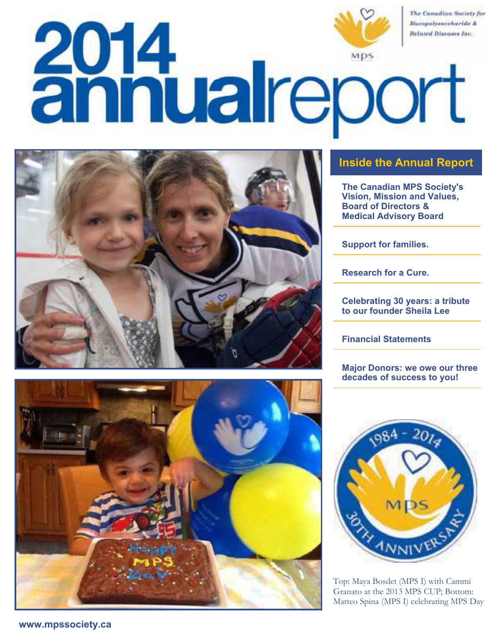



# **Inside the Annual Report**

**The Canadian MPS Society's Vision, Mission and Values, Board of Directors & Medical Advisory Board** 

**Support for families.** 

**Research for a Cure.** 

**Celebrating 30 years: a tribute to our founder Sheila Lee**

**Financial Statements** 

**Major Donors: we owe our three decades of success to you!**





Top: Maya Bosdet (MPS I) with Cammi Granato at the 2013 MPS CUP; Bottom: Matteo Spina (MPS I) celebrating MPS Day

**www.mpssociety.ca**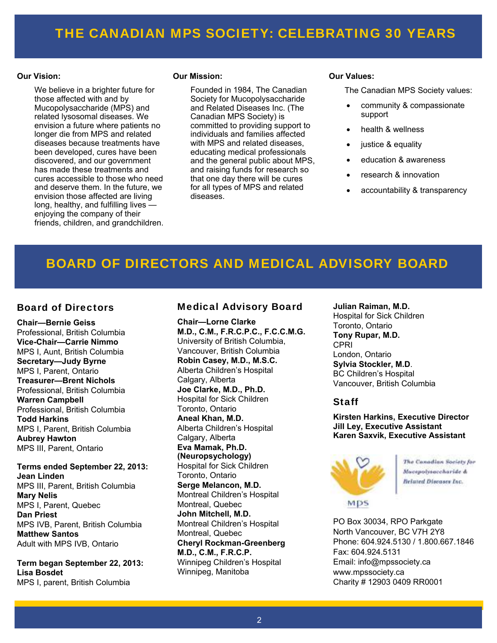# THE CANADIAN MPS SOCIETY: CELEBRATING 30 YEARS

#### **Our Vision:**

 We believe in a brighter future for those affected with and by Mucopolysaccharide (MPS) and related lysosomal diseases. We envision a future where patients no longer die from MPS and related diseases because treatments have been developed, cures have been discovered, and our government has made these treatments and cures accessible to those who need and deserve them. In the future, we envision those affected are living long, healthy, and fulfilling lives enjoying the company of their friends, children, and grandchildren.

#### **Our Mission:**

 Founded in 1984, The Canadian Society for Mucopolysaccharide and Related Diseases Inc. (The Canadian MPS Society) is committed to providing support to individuals and families affected with MPS and related diseases. educating medical professionals and the general public about MPS, and raising funds for research so that one day there will be cures for all types of MPS and related diseases.

#### **Our Values:**

The Canadian MPS Society values:

- community & compassionate support
- health & wellness
- justice & equality
- education & awareness
- research & innovation
- accountability & transparency

# BOARD OF DIRECTORS AND MEDICAL ADVISORY BOARD

## Board of Directors

**Chair—Bernie Geiss** Professional, British Columbia **Vice-Chair—Carrie Nimmo** MPS I, Aunt, British Columbia **Secretary—Judy Byrne**  MPS I, Parent, Ontario **Treasurer—Brent Nichols**  Professional, British Columbia **Warren Campbell**  Professional, British Columbia **Todd Harkins**  MPS I, Parent, British Columbia **Aubrey Hawton**  MPS III, Parent, Ontario

**Terms ended September 22, 2013: Jean Linden** MPS III, Parent, British Columbia **Mary Nelis**  MPS I, Parent, Quebec **Dan Priest**  MPS IVB, Parent, British Columbia **Matthew Santos**  Adult with MPS IVB, Ontario

**Term began September 22, 2013: Lisa Bosdet**  MPS I, parent, British Columbia

## Medical Advisory Board

**Chair—Lorne Clarke M.D., C.M., F.R.C.P.C., F.C.C.M.G.**  University of British Columbia, Vancouver, British Columbia **Robin Casey, M.D., M.S.C.**  Alberta Children's Hospital Calgary, Alberta **Joe Clarke, M.D., Ph.D.**  Hospital for Sick Children Toronto, Ontario **Aneal Khan, M.D.**  Alberta Children's Hospital Calgary, Alberta **Eva Mamak, Ph.D. (Neuropsychology)**  Hospital for Sick Children Toronto, Ontario **Serge Melancon, M.D.**  Montreal Children's Hospital Montreal, Quebec **John Mitchell, M.D.**  Montreal Children's Hospital Montreal, Quebec **Cheryl Rockman-Greenberg M.D., C.M., F.R.C.P.**  Winnipeg Children's Hospital Winnipeg, Manitoba

**Julian Raiman, M.D.**  Hospital for Sick Children Toronto, Ontario **Tony Rupar, M.D.**  CPRI London, Ontario **Sylvia Stockler, M.D**. BC Children's Hospital Vancouver, British Columbia

## Staff

**Kirsten Harkins, Executive Director Jill Ley, Executive Assistant Karen Saxvik, Executive Assistant** 



The Canadian Society for Mucapolysaccharide & **Belated Diseases Inc.** 

PO Box 30034, RPO Parkgate North Vancouver, BC V7H 2Y8 Phone: 604.924.5130 / 1.800.667.1846 Fax: 604.924.5131 Email: info@mpssociety.ca www.mpssociety.ca Charity # 12903 0409 RR0001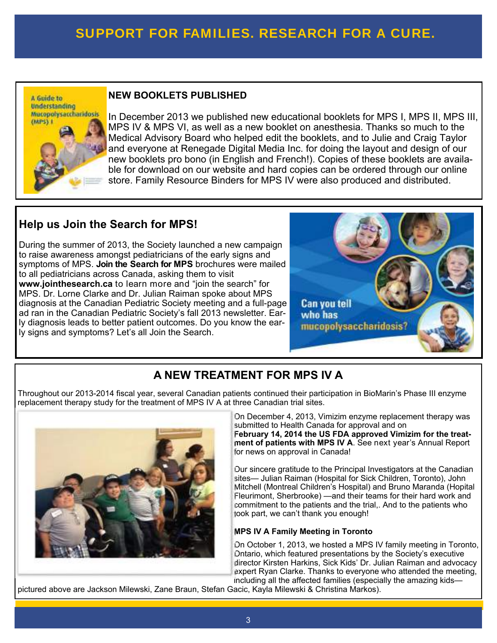A Guide to Understanding Mucopolysaccharidosis  $(MES)$   $I$ 

## **NEW BOOKLETS PUBLISHED**

In December 2013 we published new educational booklets for MPS I, MPS II, MPS III, MPS IV & MPS VI, as well as a new booklet on anesthesia. Thanks so much to the Medical Advisory Board who helped edit the booklets, and to Julie and Craig Taylor and everyone at Renegade Digital Media Inc. for doing the layout and design of our new booklets pro bono (in English and French!). Copies of these booklets are available for download on our website and hard copies can be ordered through our online store. Family Resource Binders for MPS IV were also produced and distributed.

# **Help us Join the Search for MPS!**

During the summer of 2013, the Society launched a new campaign to raise awareness amongst pediatricians of the early signs and symptoms of MPS. **Join the Search for MPS** brochures were mailed to all pediatricians across Canada, asking them to visit **www.jointhesearch.ca** to learn more and "join the search" for MPS. Dr. Lorne Clarke and Dr. Julian Raiman spoke about MPS diagnosis at the Canadian Pediatric Society meeting and a full-page ad ran in the Canadian Pediatric Society's fall 2013 newsletter. Early diagnosis leads to better patient outcomes. Do you know the early signs and symptoms? Let's all Join the Search.

**Can you tell** who has mucopolysaccharidosis?

# **A NEW TREATMENT FOR MPS IV A**

Throughout our 2013-2014 fiscal year, several Canadian patients continued their participation in BioMarin's Phase III enzyme replacement therapy study for the treatment of MPS IV A at three Canadian trial sites.



On December 4, 2013, Vimizim enzyme replacement therapy was submitted to Health Canada for approval and on

**February 14, 2014 the US FDA approved Vimizim for the treatment of patients with MPS IV A**. See next year's Annual Report for news on approval in Canada!

Our sincere gratitude to the Principal Investigators at the Canadian sites— Julian Raiman (Hospital for Sick Children, Toronto), John Mitchell (Montreal Children's Hospital) and Bruno Maranda (Hopital Fleurimont, Sherbrooke) —and their teams for their hard work and commitment to the patients and the trial,. And to the patients who took part, we can't thank you enough!

## **MPS IV A Family Meeting in Toronto**

On October 1, 2013, we hosted a MPS IV family meeting in Toronto, Ontario, which featured presentations by the Society's executive director Kirsten Harkins, Sick Kids' Dr. Julian Raiman and advocacy expert Ryan Clarke. Thanks to everyone who attended the meeting, including all the affected families (especially the amazing kids—

pictured above are Jackson Milewski, Zane Braun, Stefan Gacic, Kayla Milewski & Christina Markos).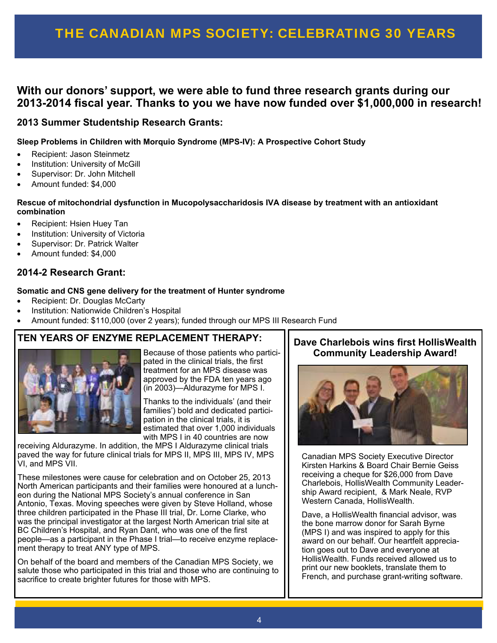# THE CANADIAN MPS SOCIETY: CELEBRATING 30 YEARS

## **With our donors' support, we were able to fund three research grants during our 2013-2014 fiscal year. Thanks to you we have now funded over \$1,000,000 in research!**

## **2013 Summer Studentship Research Grants:**

#### **Sleep Problems in Children with Morquio Syndrome (MPS-IV): A Prospective Cohort Study**

- Recipient: Jason Steinmetz
- Institution: University of McGill
- Supervisor: Dr. John Mitchell
- Amount funded: \$4,000

#### **Rescue of mitochondrial dysfunction in Mucopolysaccharidosis IVA disease by treatment with an antioxidant combination**

- Recipient: Hsien Huey Tan
- Institution: University of Victoria
- Supervisor: Dr. Patrick Walter
- Amount funded: \$4,000

## **2014-2 Research Grant:**

#### **Somatic and CNS gene delivery for the treatment of Hunter syndrome**

- Recipient: Dr. Douglas McCarty
- Institution: Nationwide Children's Hospital
- Amount funded: \$110,000 (over 2 years); funded through our MPS III Research Fund

## **TEN YEARS OF ENZYME REPLACEMENT THERAPY:**



Because of those patients who participated in the clinical trials, the first treatment for an MPS disease was approved by the FDA ten years ago (in 2003)—Aldurazyme for MPS I.

Thanks to the individuals' (and their families') bold and dedicated participation in the clinical trials, it is estimated that over 1,000 individuals with MPS I in 40 countries are now

receiving Aldurazyme. In addition, the MPS I Aldurazyme clinical trials paved the way for future clinical trials for MPS II, MPS III, MPS IV, MPS VI, and MPS VII.

These milestones were cause for celebration and on October 25, 2013 North American participants and their families were honoured at a luncheon during the National MPS Society's annual conference in San Antonio, Texas. Moving speeches were given by Steve Holland, whose three children participated in the Phase III trial, Dr. Lorne Clarke, who was the principal investigator at the largest North American trial site at BC Children's Hospital, and Ryan Dant, who was one of the first people—as a participant in the Phase I trial—to receive enzyme replacement therapy to treat ANY type of MPS.

On behalf of the board and members of the Canadian MPS Society, we salute those who participated in this trial and those who are continuing to sacrifice to create brighter futures for those with MPS.

## **Dave Charlebois wins first HollisWealth Community Leadership Award!**



Canadian MPS Society Executive Director Kirsten Harkins & Board Chair Bernie Geiss receiving a cheque for \$26,000 from Dave Charlebois, HollisWealth Community Leadership Award recipient, & Mark Neale, RVP Western Canada, HollisWealth.

Dave, a HollisWealth financial advisor, was the bone marrow donor for Sarah Byrne (MPS I) and was inspired to apply for this award on our behalf. Our heartfelt appreciation goes out to Dave and everyone at HollisWealth. Funds received allowed us to print our new booklets, translate them to French, and purchase grant-writing software.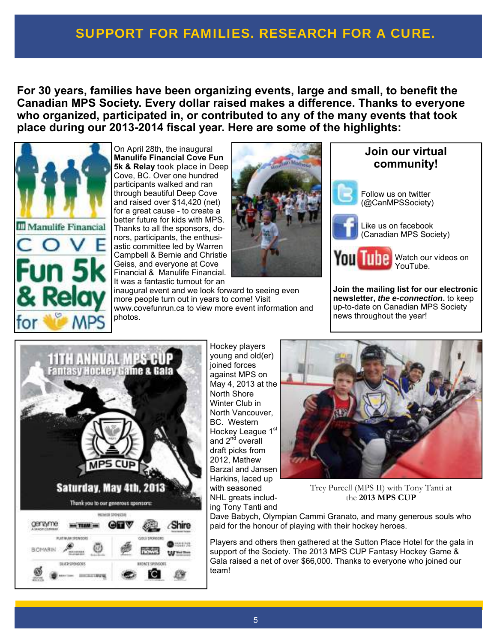**For 30 years, families have been organizing events, large and small, to benefit the Canadian MPS Society. Every dollar raised makes a difference. Thanks to everyone who organized, participated in, or contributed to any of the many events that took place during our 2013-2014 fiscal year. Here are some of the highlights:** 



On April 28th, the inaugural **Manulife Financial Cove Fun 5k & Relay** took place in Deep Cove, BC. Over one hundred participants walked and ran through beautiful Deep Cove and raised over \$14,420 (net) for a great cause - to create a better future for kids with MPS. Thanks to all the sponsors, donors, participants, the enthusiastic committee led by Warren Campbell & Bernie and Christie Geiss, and everyone at Cove Financial & Manulife Financial. It was a fantastic turnout for an



inaugural event and we look forward to seeing even more people turn out in years to come! Visit www.covefunrun.ca to view more event information and photos.





Follow us on twitter (@CanMPSSociety)

Like us on facebook (Canadian MPS Society)



You **Unite** Watch our videos on YouTube.

**Join the mailing list for our electronic newsletter, the e-connection.** to keep up-to-date on Canadian MPS Society news throughout the year!



Hockey players young and old(er) joined forces against MPS on May 4, 2013 at the North Shore Winter Club in North Vancouver, BC. Western Hockey League 1<sup>st</sup> and 2<sup>nd</sup> overall draft picks from 2012, Mathew Barzal and Jansen Harkins, laced up with seasoned NHL greats including Tony Tanti and



Trey Purcell (MPS II) with Tony Tanti at the **2013 MPS CUP**

Dave Babych, Olympian Cammi Granato, and many generous souls who paid for the honour of playing with their hockey heroes.

Players and others then gathered at the Sutton Place Hotel for the gala in support of the Society. The 2013 MPS CUP Fantasy Hockey Game & Gala raised a net of over \$66,000. Thanks to everyone who joined our team!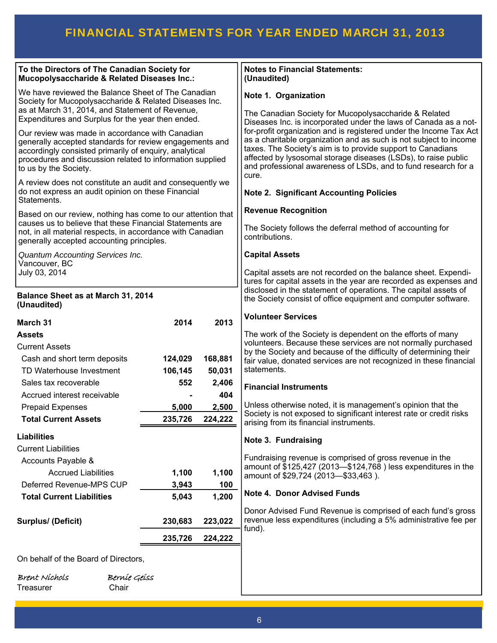## FINANCIAL STATEMENTS FOR YEAR ENDED MARCH 31, 2011 2013

| To the Directors of The Canadian Society for<br>Mucopolysaccharide & Related Diseases Inc.:                                                                                                                                                                |                  |                  | <b>Notes to Financial Statements:</b><br>(Unaudited)                                                                                                                                                                                                                                                                                                |
|------------------------------------------------------------------------------------------------------------------------------------------------------------------------------------------------------------------------------------------------------------|------------------|------------------|-----------------------------------------------------------------------------------------------------------------------------------------------------------------------------------------------------------------------------------------------------------------------------------------------------------------------------------------------------|
| We have reviewed the Balance Sheet of The Canadian<br>Society for Mucopolysaccharide & Related Diseases Inc.<br>as at March 31, 2014, and Statement of Revenue,<br>Expenditures and Surplus for the year then ended.                                       |                  |                  | Note 1. Organization<br>The Canadian Society for Mucopolysaccharide & Related<br>Diseases Inc. is incorporated under the laws of Canada as a not-                                                                                                                                                                                                   |
| Our review was made in accordance with Canadian<br>generally accepted standards for review engagements and<br>accordingly consisted primarily of enquiry, analytical<br>procedures and discussion related to information supplied<br>to us by the Society. |                  |                  | for-profit organization and is registered under the Income Tax Act<br>as a charitable organization and as such is not subject to income<br>taxes. The Society's aim is to provide support to Canadians<br>affected by lysosomal storage diseases (LSDs), to raise public<br>and professional awareness of LSDs, and to fund research for a<br>cure. |
| A review does not constitute an audit and consequently we<br>do not express an audit opinion on these Financial<br>Statements.                                                                                                                             |                  |                  | <b>Note 2. Significant Accounting Policies</b>                                                                                                                                                                                                                                                                                                      |
| Based on our review, nothing has come to our attention that                                                                                                                                                                                                |                  |                  | <b>Revenue Recognition</b>                                                                                                                                                                                                                                                                                                                          |
| causes us to believe that these Financial Statements are<br>not, in all material respects, in accordance with Canadian<br>generally accepted accounting principles.                                                                                        |                  |                  | The Society follows the deferral method of accounting for<br>contributions.                                                                                                                                                                                                                                                                         |
| Quantum Accounting Services Inc.                                                                                                                                                                                                                           |                  |                  | <b>Capital Assets</b>                                                                                                                                                                                                                                                                                                                               |
| Vancouver, BC<br>July 03, 2014                                                                                                                                                                                                                             |                  |                  | Capital assets are not recorded on the balance sheet. Expendi-<br>tures for capital assets in the year are recorded as expenses and<br>disclosed in the statement of operations. The capital assets of<br>the Society consist of office equipment and computer software.                                                                            |
| Balance Sheet as at March 31, 2014<br>(Unaudited)                                                                                                                                                                                                          |                  |                  |                                                                                                                                                                                                                                                                                                                                                     |
| March 31                                                                                                                                                                                                                                                   | 2014             | 2013             | <b>Volunteer Services</b>                                                                                                                                                                                                                                                                                                                           |
| <b>Assets</b>                                                                                                                                                                                                                                              |                  |                  | The work of the Society is dependent on the efforts of many                                                                                                                                                                                                                                                                                         |
| <b>Current Assets</b>                                                                                                                                                                                                                                      |                  |                  | volunteers. Because these services are not normally purchased<br>by the Society and because of the difficulty of determining their                                                                                                                                                                                                                  |
| Cash and short term deposits                                                                                                                                                                                                                               | 124,029          | 168,881          | fair value, donated services are not recognized in these financial                                                                                                                                                                                                                                                                                  |
| TD Waterhouse Investment                                                                                                                                                                                                                                   | 106,145          | 50,031           | statements.                                                                                                                                                                                                                                                                                                                                         |
| Sales tax recoverable                                                                                                                                                                                                                                      | 552              | 2,406            | <b>Financial Instruments</b>                                                                                                                                                                                                                                                                                                                        |
| Accrued interest receivable                                                                                                                                                                                                                                |                  | 404              | Unless otherwise noted, it is management's opinion that the                                                                                                                                                                                                                                                                                         |
| <b>Prepaid Expenses</b><br><b>Total Current Assets</b>                                                                                                                                                                                                     | 5,000<br>235,726 | 2,500<br>224,222 | Society is not exposed to significant interest rate or credit risks<br>arising from its financial instruments.                                                                                                                                                                                                                                      |
| <b>Liabilities</b>                                                                                                                                                                                                                                         |                  |                  | Note 3. Fundraising                                                                                                                                                                                                                                                                                                                                 |
| <b>Current Liabilities</b>                                                                                                                                                                                                                                 |                  |                  | Fundraising revenue is comprised of gross revenue in the                                                                                                                                                                                                                                                                                            |
| Accounts Payable &                                                                                                                                                                                                                                         |                  |                  | amount of \$125,427 (2013-\$124,768) less expenditures in the                                                                                                                                                                                                                                                                                       |
| <b>Accrued Liabilities</b>                                                                                                                                                                                                                                 | 1,100            | 1,100            | amount of \$29,724 (2013-\$33,463).                                                                                                                                                                                                                                                                                                                 |
| Deferred Revenue-MPS CUP<br><b>Total Current Liabilities</b>                                                                                                                                                                                               | 3,943<br>5,043   | 100<br>1,200     | Note 4. Donor Advised Funds                                                                                                                                                                                                                                                                                                                         |
|                                                                                                                                                                                                                                                            |                  |                  |                                                                                                                                                                                                                                                                                                                                                     |
| <b>Surplus/ (Deficit)</b>                                                                                                                                                                                                                                  | 230,683          | 223,022          | Donor Advised Fund Revenue is comprised of each fund's gross<br>revenue less expenditures (including a 5% administrative fee per<br>fund).                                                                                                                                                                                                          |
|                                                                                                                                                                                                                                                            | 235,726          | 224,222          |                                                                                                                                                                                                                                                                                                                                                     |
| On behalf of the Board of Directors,                                                                                                                                                                                                                       |                  |                  |                                                                                                                                                                                                                                                                                                                                                     |
| Brent Níchols<br>Berníe Geiss<br>Treasurer<br>Chair                                                                                                                                                                                                        |                  |                  |                                                                                                                                                                                                                                                                                                                                                     |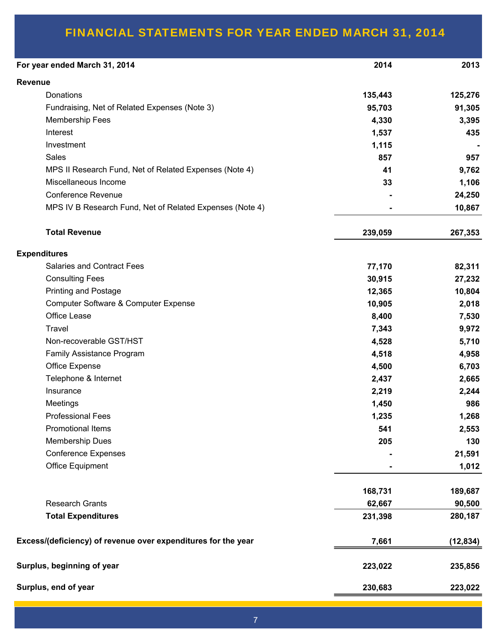# FINANCIAL STATEMENTS FOR YEAR ENDED MARCH 31, 2014

| For year ended March 31, 2014                                 | 2014    | 2013    |
|---------------------------------------------------------------|---------|---------|
| <b>Revenue</b>                                                |         |         |
| Donations                                                     | 135,443 | 125,276 |
| Fundraising, Net of Related Expenses (Note 3)                 | 95,703  | 91,305  |
| <b>Membership Fees</b>                                        | 4,330   | 3,395   |
| Interest                                                      | 1,537   | 435     |
| Investment                                                    | 1,115   |         |
| Sales                                                         | 857     | 957     |
| MPS II Research Fund, Net of Related Expenses (Note 4)        | 41      | 9,762   |
| Miscellaneous Income                                          | 33      | 1,106   |
| <b>Conference Revenue</b>                                     |         | 24,250  |
| MPS IV B Research Fund, Net of Related Expenses (Note 4)      |         | 10,867  |
| <b>Total Revenue</b>                                          | 239,059 | 267,353 |
| <b>Expenditures</b>                                           |         |         |
| <b>Salaries and Contract Fees</b>                             | 77,170  | 82,311  |
| <b>Consulting Fees</b>                                        | 30,915  | 27,232  |
| <b>Printing and Postage</b>                                   | 12,365  | 10,804  |
| Computer Software & Computer Expense                          | 10,905  | 2,018   |
| Office Lease                                                  | 8,400   | 7,530   |
| <b>Travel</b>                                                 | 7,343   | 9,972   |
| Non-recoverable GST/HST                                       | 4,528   | 5,710   |
| Family Assistance Program                                     | 4,518   | 4,958   |
| Office Expense                                                | 4,500   | 6,703   |
| Telephone & Internet                                          | 2,437   | 2,665   |
| Insurance                                                     | 2,219   | 2,244   |
| Meetings                                                      | 1,450   | 986     |
| <b>Professional Fees</b>                                      | 1,235   | 1,268   |
| <b>Promotional Items</b>                                      | 541     | 2,553   |
| Membership Dues                                               | 205     | 130     |
| <b>Conference Expenses</b>                                    |         | 21,591  |
| <b>Office Equipment</b>                                       |         | 1,012   |
|                                                               | 168,731 | 189,687 |
| <b>Research Grants</b>                                        | 62,667  | 90,500  |
| <b>Total Expenditures</b>                                     | 231,398 | 280,187 |
| Excess/(deficiency) of revenue over expenditures for the year | 7,661   |         |
| Surplus, beginning of year                                    | 223,022 | 235,856 |
| Surplus, end of year                                          | 230,683 | 223,022 |